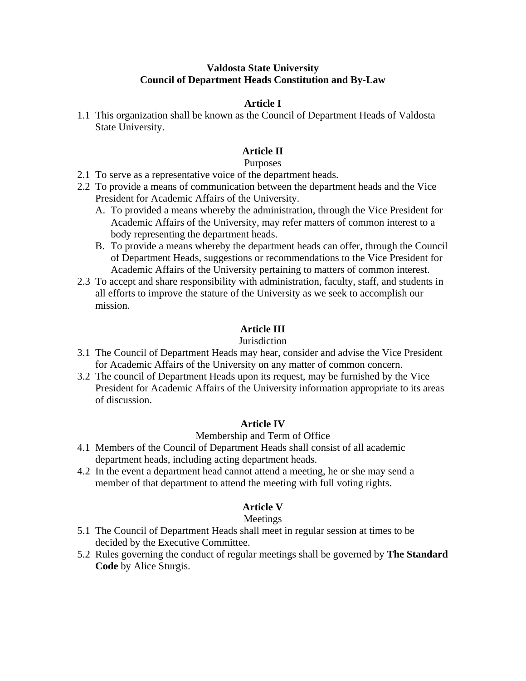### **Valdosta State University Council of Department Heads Constitution and By-Law**

## **Article I**

1.1 This organization shall be known as the Council of Department Heads of Valdosta State University.

# **Article II**

#### Purposes

- 2.1 To serve as a representative voice of the department heads.
- 2.2 To provide a means of communication between the department heads and the Vice President for Academic Affairs of the University.
	- A. To provided a means whereby the administration, through the Vice President for Academic Affairs of the University, may refer matters of common interest to a body representing the department heads.
	- B. To provide a means whereby the department heads can offer, through the Council of Department Heads, suggestions or recommendations to the Vice President for Academic Affairs of the University pertaining to matters of common interest.
- 2.3 To accept and share responsibility with administration, faculty, staff, and students in all efforts to improve the stature of the University as we seek to accomplish our mission.

# **Article III**

#### **Jurisdiction**

- 3.1 The Council of Department Heads may hear, consider and advise the Vice President for Academic Affairs of the University on any matter of common concern.
- 3.2 The council of Department Heads upon its request, may be furnished by the Vice President for Academic Affairs of the University information appropriate to its areas of discussion.

## **Article IV**

#### Membership and Term of Office

- 4.1 Members of the Council of Department Heads shall consist of all academic department heads, including acting department heads.
- 4.2 In the event a department head cannot attend a meeting, he or she may send a member of that department to attend the meeting with full voting rights.

# **Article V**

## Meetings

- 5.1 The Council of Department Heads shall meet in regular session at times to be decided by the Executive Committee.
- 5.2 Rules governing the conduct of regular meetings shall be governed by **The Standard Code** by Alice Sturgis.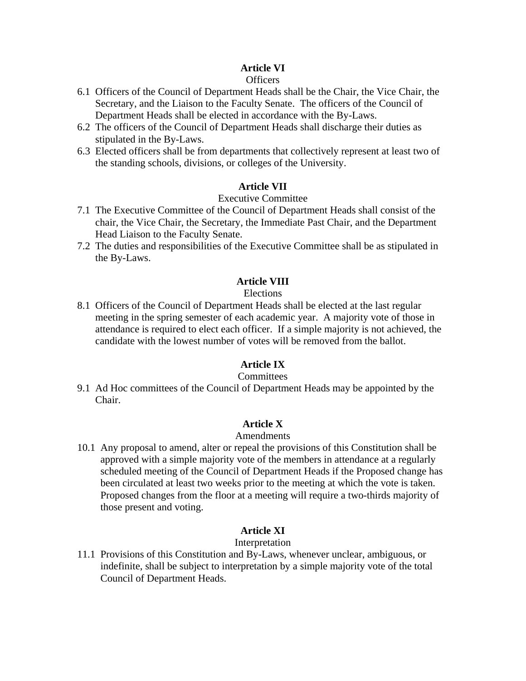# **Article VI**

## Officers

- 6.1 Officers of the Council of Department Heads shall be the Chair, the Vice Chair, the Secretary, and the Liaison to the Faculty Senate. The officers of the Council of Department Heads shall be elected in accordance with the By-Laws.
- 6.2 The officers of the Council of Department Heads shall discharge their duties as stipulated in the By-Laws.
- 6.3 Elected officers shall be from departments that collectively represent at least two of the standing schools, divisions, or colleges of the University.

# **Article VII**

## Executive Committee

- 7.1 The Executive Committee of the Council of Department Heads shall consist of the chair, the Vice Chair, the Secretary, the Immediate Past Chair, and the Department Head Liaison to the Faculty Senate.
- 7.2 The duties and responsibilities of the Executive Committee shall be as stipulated in the By-Laws.

## **Article VIII**

#### Elections

8.1 Officers of the Council of Department Heads shall be elected at the last regular meeting in the spring semester of each academic year. A majority vote of those in attendance is required to elect each officer. If a simple majority is not achieved, the candidate with the lowest number of votes will be removed from the ballot.

# **Article IX**

#### **Committees**

9.1 Ad Hoc committees of the Council of Department Heads may be appointed by the Chair.

## **Article X**

#### Amendments

10.1 Any proposal to amend, alter or repeal the provisions of this Constitution shall be approved with a simple majority vote of the members in attendance at a regularly scheduled meeting of the Council of Department Heads if the Proposed change has been circulated at least two weeks prior to the meeting at which the vote is taken. Proposed changes from the floor at a meeting will require a two-thirds majority of those present and voting.

## **Article XI**

#### Interpretation

11.1 Provisions of this Constitution and By-Laws, whenever unclear, ambiguous, or indefinite, shall be subject to interpretation by a simple majority vote of the total Council of Department Heads.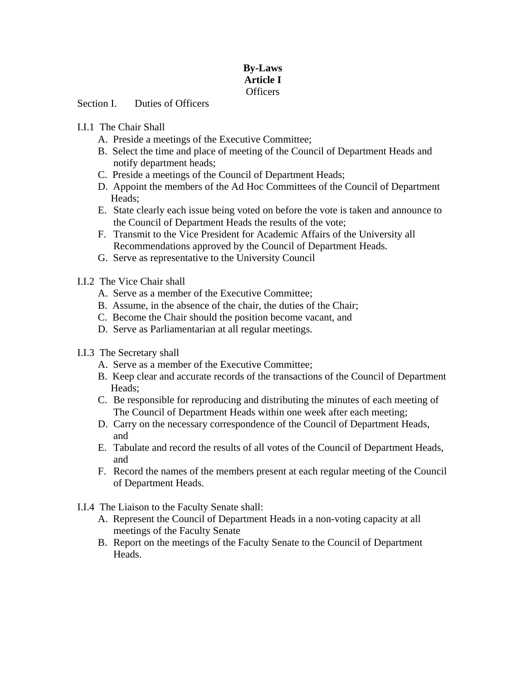# **By-Laws Article I**  Officers

Section I. Duties of Officers

# I.I.1 The Chair Shall

- A. Preside a meetings of the Executive Committee;
- B. Select the time and place of meeting of the Council of Department Heads and notify department heads;
- C. Preside a meetings of the Council of Department Heads;
- D. Appoint the members of the Ad Hoc Committees of the Council of Department Heads;
- E. State clearly each issue being voted on before the vote is taken and announce to the Council of Department Heads the results of the vote;
- F. Transmit to the Vice President for Academic Affairs of the University all Recommendations approved by the Council of Department Heads.
- G. Serve as representative to the University Council
- I.I.2 The Vice Chair shall
	- A. Serve as a member of the Executive Committee;
	- B. Assume, in the absence of the chair, the duties of the Chair;
	- C. Become the Chair should the position become vacant, and
	- D. Serve as Parliamentarian at all regular meetings.
- I.I.3 The Secretary shall
	- A. Serve as a member of the Executive Committee;
	- B. Keep clear and accurate records of the transactions of the Council of Department Heads;
	- C. Be responsible for reproducing and distributing the minutes of each meeting of The Council of Department Heads within one week after each meeting;
	- D. Carry on the necessary correspondence of the Council of Department Heads, and
	- E. Tabulate and record the results of all votes of the Council of Department Heads, and
	- F. Record the names of the members present at each regular meeting of the Council of Department Heads.
- I.I.4 The Liaison to the Faculty Senate shall:
	- A. Represent the Council of Department Heads in a non-voting capacity at all meetings of the Faculty Senate
	- B. Report on the meetings of the Faculty Senate to the Council of Department Heads.